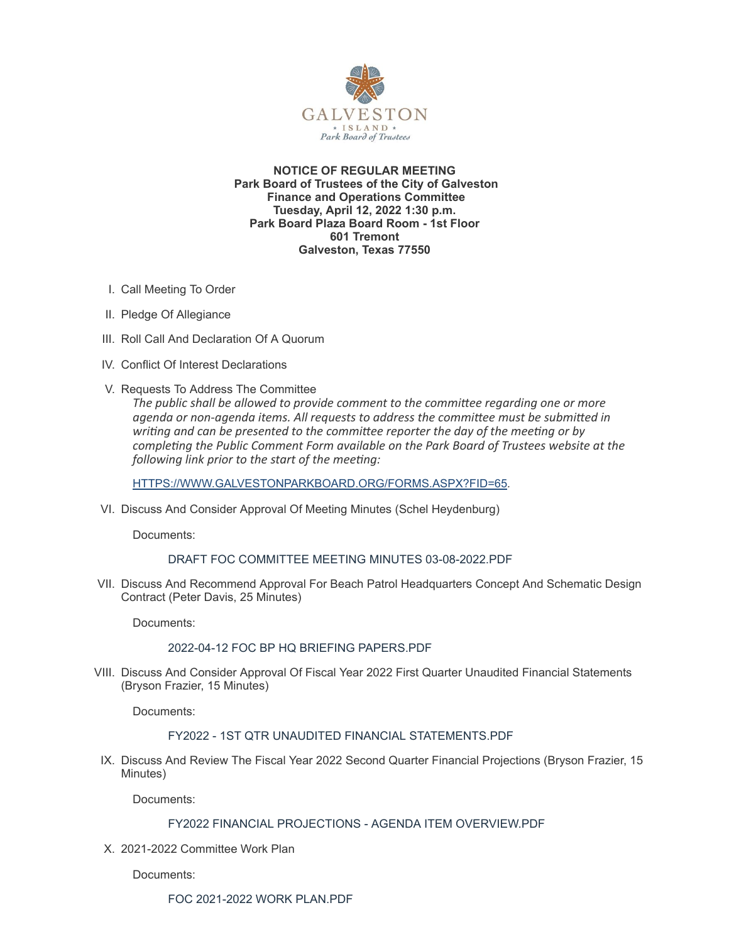

**NOTICE OF REGULAR MEETING Park Board of Trustees of the City of Galveston Finance and Operations Committee Tuesday, April 12, 2022 1:30 p.m. Park Board Plaza Board Room - 1st Floor 601 Tremont Galveston, Texas 77550**

- I. Call Meeting To Order
- II. Pledge Of Allegiance
- III. Roll Call And Declaration Of A Quorum
- IV. Conflict Of Interest Declarations
- V. Requests To Address The Committee

*The public shall be allowed to provide comment to the committee regarding one or more agenda or non-agenda items. All requests to address the committee must be submitted in writing and can be presented to the committee reporter the day of the meeting or by completing the Public Comment Form available on the Park Board of Trustees website at the following link prior to the start of the meeting:*

[HTTPS://WWW.GALVESTONPARKBOARD.ORG/FORMS.ASPX?FID=65](https://www.galvestonparkboard.org/forms.aspx?FID=65)*.*

VI. Discuss And Consider Approval Of Meeting Minutes (Schel Heydenburg)

Documents:

### DRAFT FOC COMMITTEE MEETING MINUTES [03-08-2022.PDF](https://www.galvestonparkboard.org/AgendaCenter/ViewFile/Item/7588?fileID=11530)

VII. Discuss And Recommend Approval For Beach Patrol Headquarters Concept And Schematic Design Contract (Peter Davis, 25 Minutes)

Documents:

### 2022-04-12 FOC BP HQ BRIEFING [PAPERS.PDF](https://www.galvestonparkboard.org/AgendaCenter/ViewFile/Item/7583?fileID=11547)

VIII. Discuss And Consider Approval Of Fiscal Year 2022 First Quarter Unaudited Financial Statements (Bryson Frazier, 15 Minutes)

Documents:

### FY2022 - 1ST QTR UNAUDITED FINANCIAL [STATEMENTS.PDF](https://www.galvestonparkboard.org/AgendaCenter/ViewFile/Item/7580?fileID=11546)

IX. Discuss And Review The Fiscal Year 2022 Second Quarter Financial Projections (Bryson Frazier, 15 Minutes)

Documents:

## FY2022 FINANCIAL PROJECTIONS - AGENDA ITEM [OVERVIEW.PDF](https://www.galvestonparkboard.org/AgendaCenter/ViewFile/Item/7581?fileID=11537)

X. 2021-2022 Committee Work Plan

Documents: